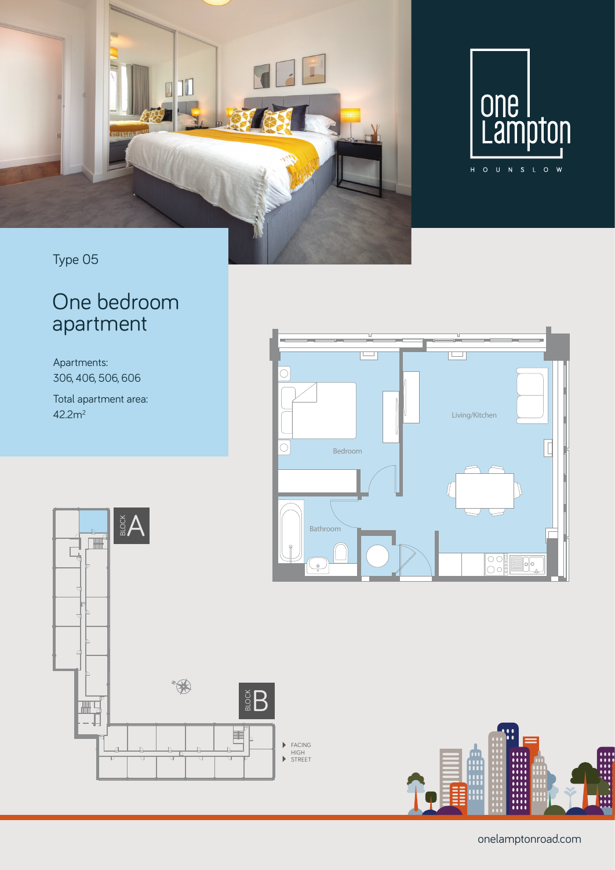

### Type 05

## One bedroom apartment

Apartments: 306, 406, 506, 606

Total apartment area: 42.2m2







onelamptonroad.com